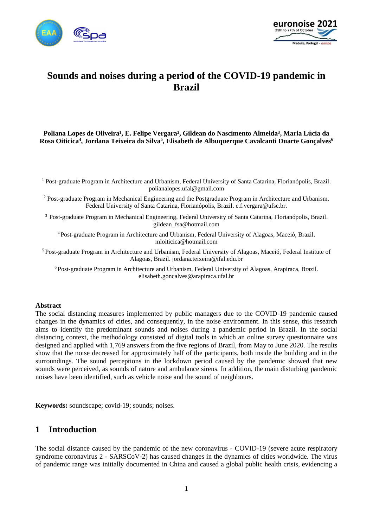



# **Sounds and noises during a period of the COVID-19 pandemic in Brazil**

#### Poliana Lopes de Oliveira<sup>1</sup>, E. Felipe Vergara<sup>2</sup>, Gildean do Nascimento Almeida<sup>3</sup>, Maria Lúcia da **Rosa Oiticica<sup>4</sup> , Jordana Teixeira da Silva<sup>5</sup> , Elisabeth de Albuquerque Cavalcanti Duarte Gonçalves<sup>6</sup>**

<sup>1</sup> Post-graduate Program in Architecture and Urbanism, Federal University of Santa Catarina, Florianópolis, Brazil. polianalopes.ufal@gmail.com

<sup>2</sup> Post-graduate Program in Mechanical Engineering and the Postgraduate Program in Architecture and Urbanism, Federal University of Santa Catarina, Florianópolis, Brazil. e.f.vergara@ufsc.br.

³ Post-graduate Program in Mechanical Engineering, Federal University of Santa Catarina, Florianópolis, Brazil. gildean\_fsa@hotmail.com

<sup>4</sup>Post-graduate Program in Architecture and Urbanism, Federal University of Alagoas, Maceió, Brazil. mloiticica@hotmail.com

<sup>5</sup> Post-graduate Program in Architecture and Urbanism, Federal University of Alagoas, Maceió, Federal Institute of Alagoas, Brazil. jordana.teixeira@ifal.edu.br

<sup>6</sup> Post-graduate Program in Architecture and Urbanism, Federal University of Alagoas, Arapiraca, Brazil. elisabeth.goncalves@arapiraca.ufal.br

#### **Abstract**

The social distancing measures implemented by public managers due to the COVID-19 pandemic caused changes in the dynamics of cities, and consequently, in the noise environment. In this sense, this research aims to identify the predominant sounds and noises during a pandemic period in Brazil. In the social distancing context, the methodology consisted of digital tools in which an online survey questionnaire was designed and applied with 1,769 answers from the five regions of Brazil, from May to June 2020. The results show that the noise decreased for approximately half of the participants, both inside the building and in the surroundings. The sound perceptions in the lockdown period caused by the pandemic showed that new sounds were perceived, as sounds of nature and ambulance sirens. In addition, the main disturbing pandemic noises have been identified, such as vehicle noise and the sound of neighbours.

**Keywords:** soundscape; covid-19; sounds; noises.

## **1 Introduction**

The social distance caused by the pandemic of the new coronavirus - COVID-19 (severe acute respiratory syndrome coronavirus 2 - SARSCoV-2) has caused changes in the dynamics of cities worldwide. The virus of pandemic range was initially documented in China and caused a global public health crisis, evidencing a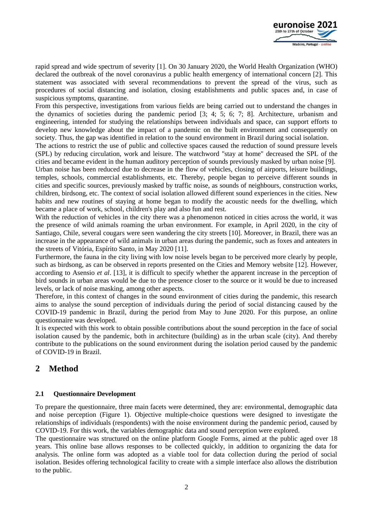

rapid spread and wide spectrum of severity [1]. On 30 January 2020, the World Health Organization (WHO) declared the outbreak of the novel coronavirus a public health emergency of international concern [2]. This statement was associated with several recommendations to prevent the spread of the virus, such as procedures of social distancing and isolation, closing establishments and public spaces and, in case of suspicious symptoms, quarantine.

From this perspective, investigations from various fields are being carried out to understand the changes in the dynamics of societies during the pandemic period [3; 4; 5; 6; 7; 8]. Architecture, urbanism and engineering, intended for studying the relationships between individuals and space, can support efforts to develop new knowledge about the impact of a pandemic on the built environment and consequently on society. Thus, the gap was identified in relation to the sound environment in Brazil during social isolation.

The actions to restrict the use of public and collective spaces caused the reduction of sound pressure levels (SPL) by reducing circulation, work and leisure. The watchword "stay at home" decreased the SPL of the cities and became evident in the human auditory perception of sounds previously masked by urban noise [9]. Urban noise has been reduced due to decrease in the flow of vehicles, closing of airports, leisure buildings,

temples, schools, commercial establishments, etc. Thereby, people began to perceive different sounds in cities and specific sources, previously masked by traffic noise, as sounds of neighbours, construction works, children, birdsong, etc. The context of social isolation allowed different sound experiences in the cities. New habits and new routines of staying at home began to modify the acoustic needs for the dwelling, which became a place of work, school, children's play and also fun and rest.

With the reduction of vehicles in the city there was a phenomenon noticed in cities across the world, it was the presence of wild animals roaming the urban environment. For example, in April 2020, in the city of Santiago, Chile, several cougars were seen wandering the city streets [10]. Moreover, in Brazil, there was an increase in the appearance of wild animals in urban areas during the pandemic, such as foxes and anteaters in the streets of Vitória, Espírito Santo, in May 2020 [11].

Furthermore, the fauna in the city living with low noise levels began to be perceived more clearly by people, such as birdsong, as can be observed in reports presented on the Cities and Memory website [12]. However, according to Asensio *et al*. [13], it is difficult to specify whether the apparent increase in the perception of bird sounds in urban areas would be due to the presence closer to the source or it would be due to increased levels, or lack of noise masking, among other aspects.

Therefore, in this context of changes in the sound environment of cities during the pandemic, this research aims to analyse the sound perception of individuals during the period of social distancing caused by the COVID-19 pandemic in Brazil, during the period from May to June 2020. For this purpose, an online questionnaire was developed.

It is expected with this work to obtain possible contributions about the sound perception in the face of social isolation caused by the pandemic, both in architecture (building) as in the urban scale (city). And thereby contribute to the publications on the sound environment during the isolation period caused by the pandemic of COVID-19 in Brazil.

# **2 Method**

### **2.1 Questionnaire Development**

To prepare the questionnaire, three main facets were determined, they are: environmental, demographic data and noise perception (Figure 1). Objective multiple-choice questions were designed to investigate the relationships of individuals (respondents) with the noise environment during the pandemic period, caused by COVID-19. For this work, the variables demographic data and sound perception were explored.

The questionnaire was structured on the online platform Google Forms, aimed at the public aged over 18 years. This online base allows responses to be collected quickly, in addition to organizing the data for analysis. The online form was adopted as a viable tool for data collection during the period of social isolation. Besides offering technological facility to create with a simple interface also allows the distribution to the public.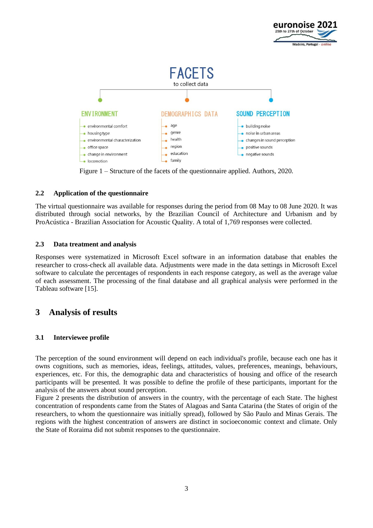

Figure 1 – Structure of the facets of the questionnaire applied. Authors, 2020.

### **2.2 Application of the questionnaire**

The virtual questionnaire was available for responses during the period from 08 May to 08 June 2020. It was distributed through social networks, by the Brazilian Council of Architecture and Urbanism and by ProAcústica - Brazilian Association for Acoustic Quality. A total of 1,769 responses were collected.

#### **2.3 Data treatment and analysis**

Responses were systematized in Microsoft Excel software in an information database that enables the researcher to cross-check all available data. Adjustments were made in the data settings in Microsoft Excel software to calculate the percentages of respondents in each response category, as well as the average value of each assessment. The processing of the final database and all graphical analysis were performed in the Tableau software [15].

# **3 Analysis of results**

### **3.1 Interviewee profile**

The perception of the sound environment will depend on each individual's profile, because each one has it owns cognitions, such as memories, ideas, feelings, attitudes, values, preferences, meanings, behaviours, experiences, etc. For this, the demographic data and characteristics of housing and office of the research participants will be presented. It was possible to define the profile of these participants, important for the analysis of the answers about sound perception.

Figure 2 presents the distribution of answers in the country, with the percentage of each State. The highest concentration of respondents came from the States of Alagoas and Santa Catarina (the States of origin of the researchers, to whom the questionnaire was initially spread), followed by São Paulo and Minas Gerais. The regions with the highest concentration of answers are distinct in socioeconomic context and climate. Only the State of Roraima did not submit responses to the questionnaire.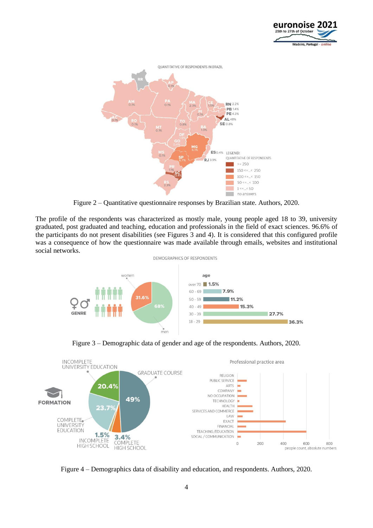



Figure 2 – Quantitative questionnaire responses by Brazilian state. Authors, 2020.

The profile of the respondents was characterized as mostly male, young people aged 18 to 39, university graduated, post graduated and teaching, education and professionals in the field of exact sciences. 96.6% of the participants do not present disabilities (see Figures 3 and 4). It is considered that this configured profile was a consequence of how the questionnaire was made available through emails, websites and institutional social networks.







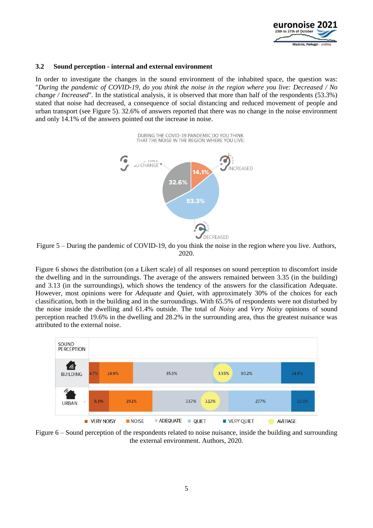

#### **3.2 Sound perception - internal and external environment**

In order to investigate the changes in the sound environment of the inhabited space, the question was: "*During the pandemic of COVID-19, do you think the noise in the region where you live: Decreased / No change / Increased*". In the statistical analysis, it is observed that more than half of the respondents (53.3%) stated that noise had decreased, a consequence of social distancing and reduced movement of people and urban transport (see Figure 5). 32.6% of answers reported that there was no change in the noise environment and only 14.1% of the answers pointed out the increase in noise.



Figure 5 – During the pandemic of COVID-19, do you think the noise in the region where you live. Authors, 2020.

Figure 6 shows the distribution (on a Likert scale) of all responses on sound perception to discomfort inside the dwelling and in the surroundings. The average of the answers remained between 3.35 (in the building) and 3.13 (in the surroundings), which shows the tendency of the answers for the classification Adequate. However, most opinions were for *Adequate* and *Quiet*, with approximately 30% of the choices for each classification, both in the building and in the surroundings. With 65.5% of respondents were not disturbed by the noise inside the dwelling and 61.4% outside. The total of *Noisy* and *Very Noisy* opinions of sound perception reached 19.6% in the dwelling and 28.2% in the surrounding area, thus the greatest nuisance was attributed to the external noise.



Figure 6 – Sound perception of the respondents related to noise nuisance, inside the building and surrounding the external environment. Authors, 2020.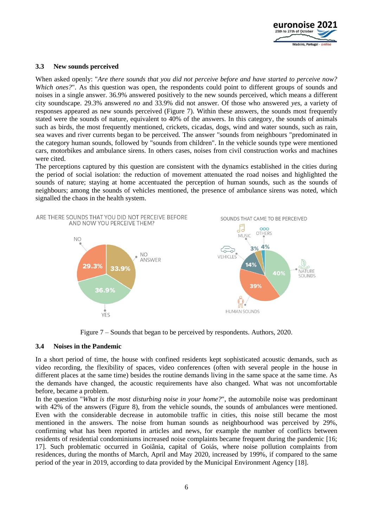

#### **3.3 New sounds perceived**

When asked openly: "*Are there sounds that you did not perceive before and have started to perceive now? Which ones?*". As this question was open, the respondents could point to different groups of sounds and noises in a single answer. 36.9% answered positively to the new sounds perceived, which means a different city soundscape. 29.3% answered *no* and 33.9% did not answer. Of those who answered *yes*, a variety of responses appeared as new sounds perceived (Figure 7). Within these answers, the sounds most frequently stated were the sounds of nature, equivalent to 40% of the answers. In this category, the sounds of animals such as birds, the most frequently mentioned, crickets, cicadas, dogs, wind and water sounds, such as rain, sea waves and river currents began to be perceived. The answer "sounds from neighbours "predominated in the category human sounds, followed by "sounds from children". In the vehicle sounds type were mentioned cars, motorbikes and ambulance sirens. In others cases, noises from civil construction works and machines were cited.

The perceptions captured by this question are consistent with the dynamics established in the cities during the period of social isolation: the reduction of movement attenuated the road noises and highlighted the sounds of nature; staying at home accentuated the perception of human sounds, such as the sounds of neighbours; among the sounds of vehicles mentioned, the presence of ambulance sirens was noted, which signalled the chaos in the health system.



Figure 7 – Sounds that began to be perceived by respondents. Authors, 2020.

#### **3.4 Noises in the Pandemic**

In a short period of time, the house with confined residents kept sophisticated acoustic demands, such as video recording, the flexibility of spaces, video conferences (often with several people in the house in different places at the same time) besides the routine demands living in the same space at the same time. As the demands have changed, the acoustic requirements have also changed. What was not uncomfortable before, became a problem.

In the question "*What is the most disturbing noise in your home?*", the automobile noise was predominant with 42% of the answers (Figure 8), from the vehicle sounds, the sounds of ambulances were mentioned. Even with the considerable decrease in automobile traffic in cities, this noise still became the most mentioned in the answers. The noise from human sounds as neighbourhood was perceived by 29%, confirming what has been reported in articles and news, for example the number of conflicts between residents of residential condominiums increased noise complaints became frequent during the pandemic [16; 17]. Such problematic occurred in Goiânia, capital of Goiás, where noise pollution complaints from residences, during the months of March, April and May 2020, increased by 199%, if compared to the same period of the year in 2019, according to data provided by the Municipal Environment Agency [18].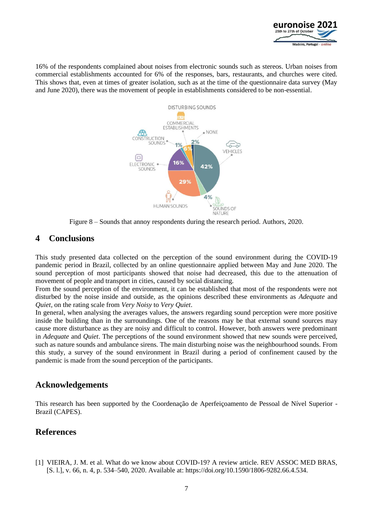

16% of the respondents complained about noises from electronic sounds such as stereos. Urban noises from commercial establishments accounted for 6% of the responses, bars, restaurants, and churches were cited. This shows that, even at times of greater isolation, such as at the time of the questionnaire data survey (May and June 2020), there was the movement of people in establishments considered to be non-essential.



Figure 8 – Sounds that annoy respondents during the research period. Authors, 2020.

# **4 Conclusions**

This study presented data collected on the perception of the sound environment during the COVID-19 pandemic period in Brazil, collected by an online questionnaire applied between May and June 2020. The sound perception of most participants showed that noise had decreased, this due to the attenuation of movement of people and transport in cities, caused by social distancing.

From the sound perception of the environment, it can be established that most of the respondents were not disturbed by the noise inside and outside, as the opinions described these environments as *Adequate* and *Quiet*, on the rating scale from *Very Noisy* to *Very Quiet*.

In general, when analysing the averages values, the answers regarding sound perception were more positive inside the building than in the surroundings. One of the reasons may be that external sound sources may cause more disturbance as they are noisy and difficult to control. However, both answers were predominant in *Adequate* and *Quiet*. The perceptions of the sound environment showed that new sounds were perceived, such as nature sounds and ambulance sirens. The main disturbing noise was the neighbourhood sounds. From this study, a survey of the sound environment in Brazil during a period of confinement caused by the pandemic is made from the sound perception of the participants.

## **Acknowledgements**

This research has been supported by the Coordenação de Aperfeiçoamento de Pessoal de Nível Superior - Brazil (CAPES).

# **References**

[1] VIEIRA, J. M. et al. What do we know about COVID-19? A review article. REV ASSOC MED BRAS, [S. l.], v. 66, n. 4, p. 534–540, 2020. Available at: https://doi.org/10.1590/1806-9282.66.4.534.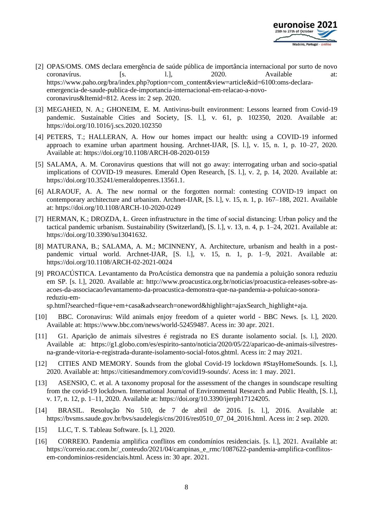

- [2] OPAS/OMS. OMS declara emergência de saúde pública de importância internacional por surto de novo coronavírus. [s. 1.], 2020. Available at: https://www.paho.org/bra/index.php?option=com\_content&view=article&id=6100:oms-declaraemergencia-de-saude-publica-de-importancia-internacional-em-relacao-a-novocoronavirus&Itemid=812. Acess in: 2 sep. 2020.
- [3] MEGAHED, N. A.; GHONEIM, E. M. Antivirus-built environment: Lessons learned from Covid-19 pandemic. Sustainable Cities and Society, [S. l.], v. 61, p. 102350, 2020. Available at: https://doi.org/10.1016/j.scs.2020.102350
- [4] PETERS, T.; HALLERAN, A. How our homes impact our health: using a COVID-19 informed approach to examine urban apartment housing. Archnet-IJAR, [S. l.], v. 15, n. 1, p. 10–27, 2020. Available at: https://doi.org/10.1108/ARCH-08-2020-0159
- [5] SALAMA, A. M. Coronavirus questions that will not go away: interrogating urban and socio-spatial implications of COVID-19 measures. Emerald Open Research, [S. l.], v. 2, p. 14, 2020. Available at: https://doi.org/10.35241/emeraldopenres.13561.1.
- [6] ALRAOUF, A. A. The new normal or the forgotten normal: contesting COVID-19 impact on contemporary architecture and urbanism. Archnet-IJAR, [S. l.], v. 15, n. 1, p. 167–188, 2021. Available at: https://doi.org/10.1108/ARCH-10-2020-0249
- [7] HERMAN, K.; DROZDA, Ł. Green infrastructure in the time of social distancing: Urban policy and the tactical pandemic urbanism. Sustainability (Switzerland), [S. l.], v. 13, n. 4, p. 1–24, 2021. Available at: https://doi.org/10.3390/su13041632.
- [8] MATURANA, B.; SALAMA, A. M.; MCINNENY, A. Architecture, urbanism and health in a postpandemic virtual world. Archnet-IJAR, [S. l.], v. 15, n. 1, p. 1–9, 2021. Available at: https://doi.org/10.1108/ARCH-02-2021-0024
- [9] PROACÚSTICA. Levantamento da ProAcústica demonstra que na pandemia a poluição sonora reduziu em SP. [s. l.], 2020. Available at: http://www.proacustica.org.br/noticias/proacustica-releases-sobre-asacoes-da-associacao/levantamento-da-proacustica-demonstra-que-na-pandemia-a-poluicao-sonorareduziu-em-

sp.html?searched=fique+em+casa&advsearch=oneword&highlight=ajaxSearch\_highlight+aja.

- [10] BBC. Coronavirus: Wild animals enjoy freedom of a quieter world BBC News. [s. l.], 2020. Available at: https://www.bbc.com/news/world-52459487. Acess in: 30 apr. 2021.
- [11] G1. Aparição de animais silvestres é registrada no ES durante isolamento social. [s. l.], 2020. Available at: https://g1.globo.com/es/espirito-santo/noticia/2020/05/22/aparicao-de-animais-silvestresna-grande-vitoria-e-registrada-durante-isolamento-social-fotos.ghtml. Acess in: 2 may 2021.
- [12] CITIES AND MEMORY. Sounds from the global Covid-19 lockdown #StayHomeSounds. [s. l.], 2020. Available at: https://citiesandmemory.com/covid19-sounds/. Acess in: 1 may. 2021.
- [13] ASENSIO, C. et al. A taxonomy proposal for the assessment of the changes in soundscape resulting from the covid-19 lockdown. International Journal of Environmental Research and Public Health, [S. l.], v. 17, n. 12, p. 1–11, 2020. Available at: https://doi.org/10.3390/ijerph17124205.
- [14] BRASIL. Resolução No 510, de 7 de abril de 2016. [s. l.], 2016. Available at: https://bvsms.saude.gov.br/bvs/saudelegis/cns/2016/res0510\_07\_04\_2016.html. Acess in: 2 sep. 2020.
- [15] LLC, T. S. Tableau Software. [s. l.], 2020.
- [16] CORREIO. Pandemia amplifica conflitos em condomínios residenciais. [s. l.], 2021. Available at: https://correio.rac.com.br/\_conteudo/2021/04/campinas\_e\_rmc/1087622-pandemia-amplifica-conflitosem-condominios-residenciais.html. Acess in: 30 apr. 2021.